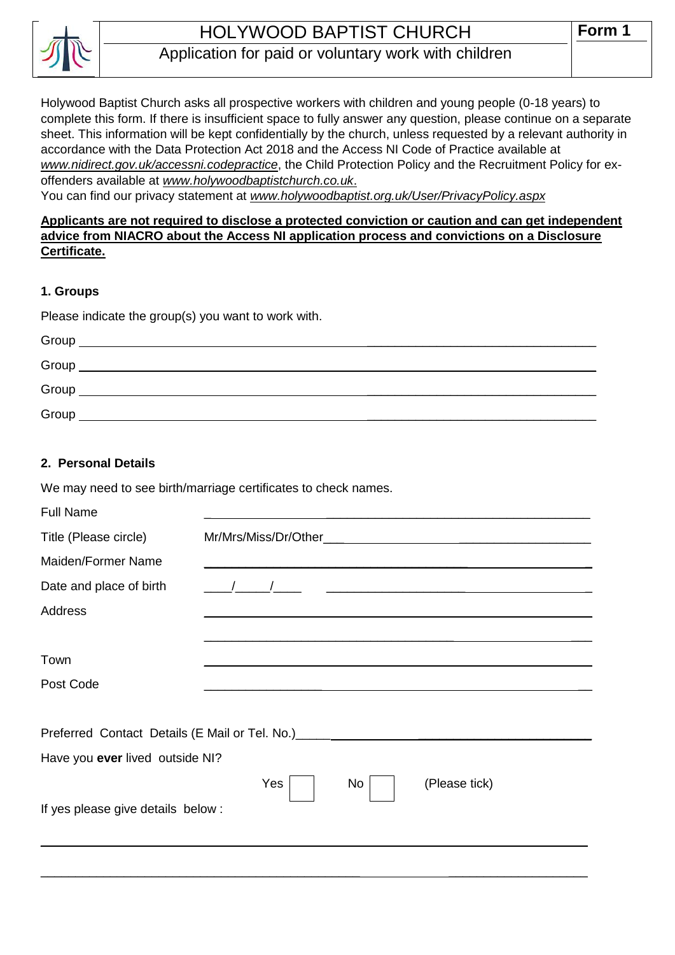

# HOLYWOOD BAPTIST CHURCH

# Application for paid or voluntary work with children

Holywood Baptist Church asks all prospective workers with children and young people (0-18 years) to complete this form. If there is insufficient space to fully answer any question, please continue on a separate sheet. This information will be kept confidentially by the church, unless requested by a relevant authority in accordance with the Data Protection Act 2018 and the Access NI Code of Practice available at *[www.nidirect.gov.uk/accessni.codepractice](http://www.nidirect.gov.uk/accessni.codepractice)*, the Child Protection Policy and the Recruitment Policy for exoffenders available at *[www.holywoodbaptistchurch.co.uk](http://www.holywoodbaptistchurch.co.uk/)*.

You can find our privacy statement at *www.holywoodbaptist.org.uk/User/PrivacyPolicy.aspx*

### **Applicants are not required to disclose a protected conviction or caution and can get independent advice from NIACRO about the Access NI application process and convictions on a Disclosure Certificate.**

#### **1. Groups**

Please indicate the group(s) you want to work with.

| Group |  |
|-------|--|
| Group |  |
| Group |  |
| Group |  |

#### **2. Personal Details**

We may need to see birth/marriage certificates to check names.

| <b>Full Name</b>                   |                                                                                  |  |  |
|------------------------------------|----------------------------------------------------------------------------------|--|--|
| Title (Please circle)              |                                                                                  |  |  |
| Maiden/Former Name                 |                                                                                  |  |  |
| Date and place of birth            |                                                                                  |  |  |
| <b>Address</b>                     |                                                                                  |  |  |
|                                    |                                                                                  |  |  |
| Town                               |                                                                                  |  |  |
| Post Code                          |                                                                                  |  |  |
|                                    |                                                                                  |  |  |
|                                    | Preferred Contact Details (E Mail or Tel. No.) _________________________________ |  |  |
| Have you ever lived outside NI?    |                                                                                  |  |  |
|                                    | Yes<br>No<br>(Please tick)                                                       |  |  |
| If yes please give details below : |                                                                                  |  |  |
|                                    |                                                                                  |  |  |
|                                    |                                                                                  |  |  |

 $\_$  , and the set of the set of the set of the set of the set of the set of the set of the set of the set of the set of the set of the set of the set of the set of the set of the set of the set of the set of the set of th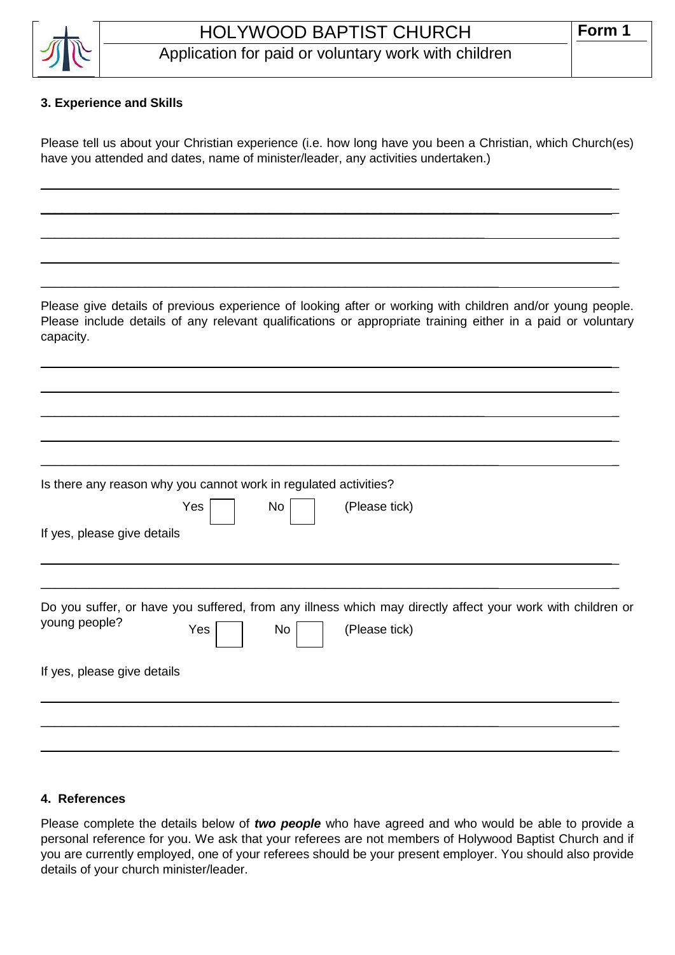

# **3. Experience and Skills**

Please tell us about your Christian experience (i.e. how long have you been a Christian, which Church(es) have you attended and dates, name of minister/leader, any activities undertaken.)

\_\_\_\_\_\_\_\_\_\_\_\_\_\_\_\_\_\_\_\_\_\_\_\_\_\_\_\_\_\_\_\_\_\_\_\_\_\_\_\_\_\_\_\_\_\_\_\_\_\_\_\_\_\_\_\_\_\_\_\_\_\_\_\_\_\_ \_

 $\_$  , and the set of the set of the set of the set of the set of the set of the set of the set of the set of the set of the set of the set of the set of the set of the set of the set of the set of the set of the set of th

 $\_$  , and the set of the set of the set of the set of the set of the set of the set of the set of the set of the set of the set of the set of the set of the set of the set of the set of the set of the set of the set of th

 $\_$  , and the set of the set of the set of the set of the set of the set of the set of the set of the set of the set of the set of the set of the set of the set of the set of the set of the set of the set of the set of th

\_\_\_\_\_\_\_\_\_\_\_\_\_\_\_\_\_\_\_\_\_\_\_\_\_\_\_\_\_\_\_\_\_\_\_\_\_\_\_\_\_\_\_\_\_\_\_\_\_\_\_\_\_\_\_\_\_\_\_\_\_\_\_\_\_\_ \_

 $\_$  , and the set of the set of the set of the set of the set of the set of the set of the set of the set of the set of the set of the set of the set of the set of the set of the set of the set of the set of the set of th

 $\_$  , and the set of the set of the set of the set of the set of the set of the set of the set of the set of the set of the set of the set of the set of the set of the set of the set of the set of the set of the set of th

\_\_\_\_\_\_\_\_\_\_\_\_\_\_\_\_\_\_\_\_\_\_\_\_\_\_\_\_\_\_\_\_\_\_\_\_\_\_\_\_\_\_\_\_\_\_\_\_\_\_\_\_\_\_\_\_\_\_\_\_\_\_\_\_ \_

 $\_$  , and the set of the set of the set of the set of the set of the set of the set of the set of the set of the set of the set of the set of the set of the set of the set of the set of the set of the set of the set of th

 $\_$  , and the set of the set of the set of the set of the set of the set of the set of the set of the set of the set of the set of the set of the set of the set of the set of the set of the set of the set of the set of th

Please give details of previous experience of looking after or working with children and/or young people. Please include details of any relevant qualifications or appropriate training either in a paid or voluntary capacity.

Is there any reason why you cannot work in regulated activities? If yes, please give details  $\_$  , and the set of the set of the set of the set of the set of the set of the set of the set of the set of the set of the set of the set of the set of the set of the set of the set of the set of the set of the set of th  $\_$  , and the set of the set of the set of the set of the set of the set of the set of the set of the set of the set of the set of the set of the set of the set of the set of the set of the set of the set of the set of th Do you suffer, or have you suffered, from any illness which may directly affect your work with children or young people? If yes, please give details \_\_\_\_\_\_\_\_\_\_\_\_\_\_\_\_\_\_\_\_\_\_\_\_\_\_\_\_\_\_\_\_\_\_\_\_\_\_\_\_\_\_\_\_\_\_\_\_\_\_\_\_\_\_\_\_\_\_\_\_\_\_\_\_\_\_ \_  $\_$  , and the set of the set of the set of the set of the set of the set of the set of the set of the set of the set of the set of the set of the set of the set of the set of the set of the set of the set of the set of th  $\_$  , and the set of the set of the set of the set of the set of the set of the set of the set of the set of the set of the set of the set of the set of the set of the set of the set of the set of the set of the set of th Yes | No | | (Please tick)  $Yes \frown \qquad No \frown \qquad (Please tick)$ 

#### **4. References**

Please complete the details below of *two people* who have agreed and who would be able to provide a personal reference for you. We ask that your referees are not members of Holywood Baptist Church and if you are currently employed, one of your referees should be your present employer. You should also provide details of your church minister/leader.